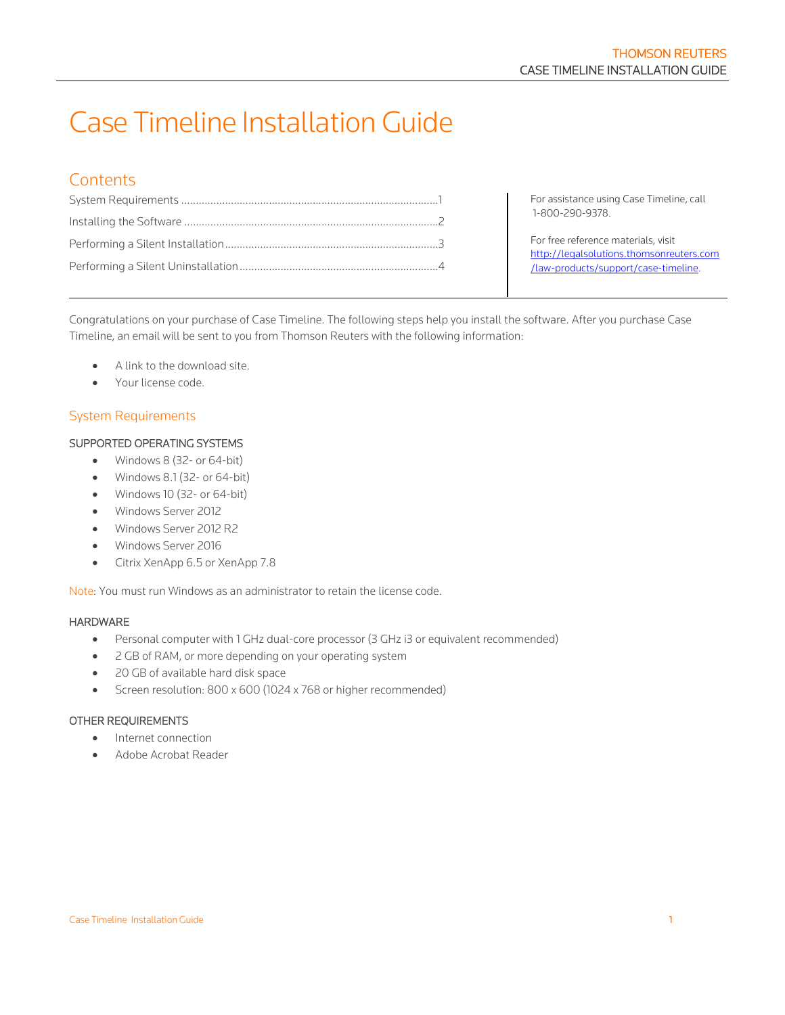# Case Timeline Installation Guide

# **Contents**

|  | For assistance using Case Timeline, call<br>1-800-290-9378.                     |  |  |
|--|---------------------------------------------------------------------------------|--|--|
|  |                                                                                 |  |  |
|  | For free reference materials, visit<br>http://legalsolutions.thomsonreuters.com |  |  |
|  | /law-products/support/case-timeline.                                            |  |  |

Congratulations on your purchase of Case Timeline. The following steps help you install the software. After you purchase Case Timeline, an email will be sent to you from Thomson Reuters with the following information:

- A link to the download site.
- Your license code.

# <span id="page-0-0"></span>System Requirements

#### SUPPORTED OPERATING SYSTEMS

- Windows 8 (32- or 64-bit)
- Windows 8.1 (32- or 64-bit)
- Windows 10 (32- or 64-bit)
- Windows Server 2012
- Windows Server 2012 R2
- Windows Server 2016
- Citrix XenApp 6.5 or XenApp 7.8

Note: You must run Windows as an administrator to retain the license code.

#### HARDWARE

- Personal computer with 1 GHz dual-core processor (3 GHz i3 or equivalent recommended)
- 2 GB of RAM, or more depending on your operating system
- 20 GB of available hard disk space
- Screen resolution: 800 x 600 (1024 x 768 or higher recommended)

#### OTHER REQUIREMENTS

- Internet connection
- Adobe Acrobat Reader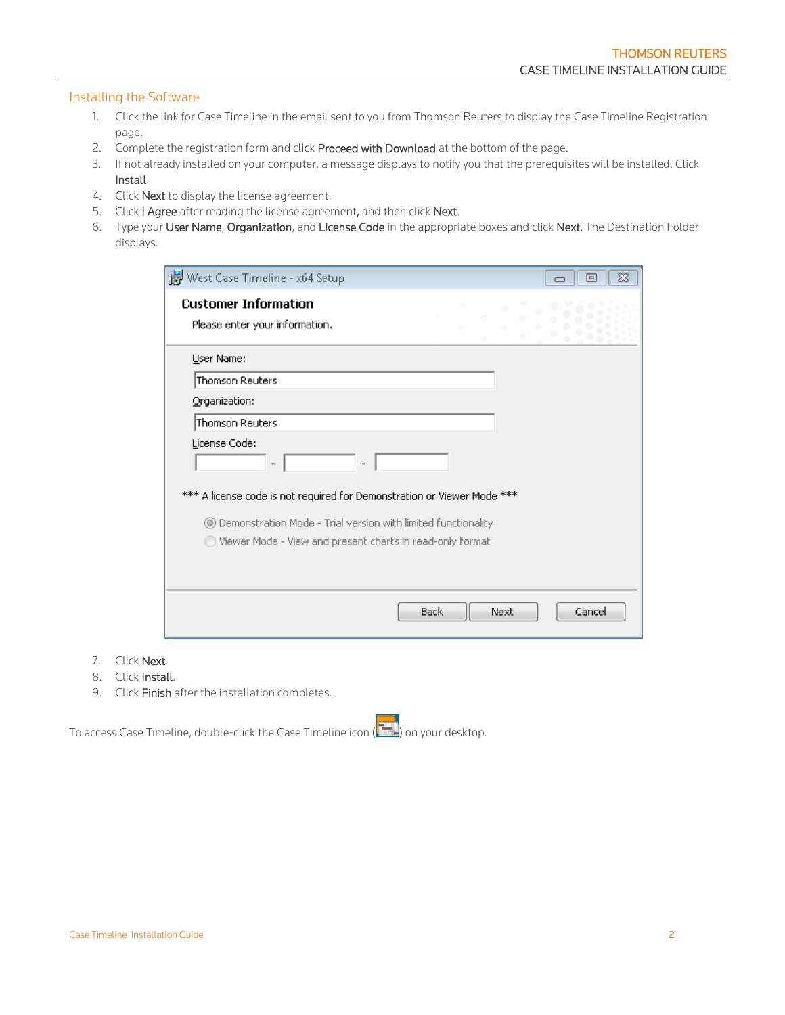#### <span id="page-1-0"></span>Installing the Software

- 1. Click the link for Case Timeline in the email sent to you from Thomson Reuters to display the Case Timeline Registration page.
- 2. Complete the registration form and click Proceed with Download at the bottom of the page.
- 3. If not already installed on your computer, a message displays to notify you that the prerequisites will be installed. Click Install.
- 4. Click **Next** to display the license agreement.
- 5. Click I Agree after reading the license agreement, and then click Next.
- 6. Type your User Name, Organization, and License Code in the appropriate boxes and click Next. The Destination Folder displays.

| West Case Timeline - x64 Setup                                                           |      |  | $\blacksquare$ | $\Sigma$ |
|------------------------------------------------------------------------------------------|------|--|----------------|----------|
| <b>Customer Information</b><br>Please enter your information.                            |      |  |                |          |
| User Name:                                                                               |      |  |                |          |
| Thomson Reuters                                                                          |      |  |                |          |
| Organization:                                                                            |      |  |                |          |
| Thomson Reuters                                                                          |      |  |                |          |
| License Code:<br>*** A license code is not required for Demonstration or Viewer Mode *** |      |  |                |          |
| Demonstration Mode - Trial version with limited functionality<br>$\circledcirc$          |      |  |                |          |
| Viewer Mode - View and present charts in read-only format                                |      |  |                |          |
| Back                                                                                     | Next |  | Cancel         |          |

- 7. Click Next.
- 8. Click Install.
- 9. Click Finish after the installation completes.

To access Case Timeline, double-click the Case Timeline icon ( $\left(\frac{1}{1-\epsilon}\right)$  on your desktop.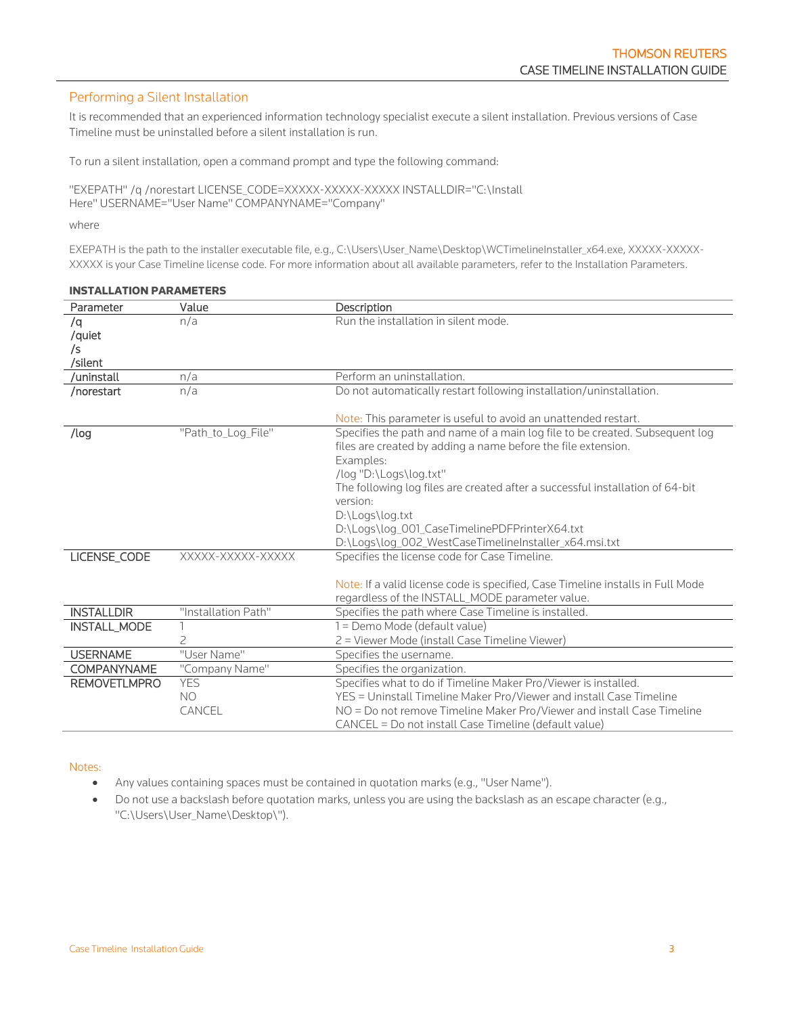### <span id="page-2-0"></span>Performing a Silent Installation

It is recommended that an experienced information technology specialist execute a silent installation. Previous versions of Case Timeline must be uninstalled before a silent installation is run.

To run a silent installation, open a command prompt and type the following command:

"EXEPATH" /q /norestart LICENSE\_CODE=XXXXX-XXXXX-XXXXX INSTALLDIR="C:\Install Here" USERNAME="User Name" COMPANYNAME="Company"

where

EXEPATH is the path to the installer executable file, e.g., C:\Users\User\_Name\Desktop\WCTimelineInstaller\_x64.exe, XXXXX-XXXXX-XXXXX is your Case Timeline license code. For more information about all available parameters, refer to the Installation Parameters.

| Parameter           | Value               | Description                                                                                                                                   |
|---------------------|---------------------|-----------------------------------------------------------------------------------------------------------------------------------------------|
| /q                  | n/a                 | Run the installation in silent mode.                                                                                                          |
| /quiet              |                     |                                                                                                                                               |
| /s                  |                     |                                                                                                                                               |
| /silent             |                     |                                                                                                                                               |
| /uninstall          | n/a                 | Perform an uninstallation.                                                                                                                    |
| /norestart          | n/a                 | Do not automatically restart following installation/uninstallation.                                                                           |
|                     |                     | Note: This parameter is useful to avoid an unattended restart.                                                                                |
| /log                | "Path to Log File"  | Specifies the path and name of a main log file to be created. Subsequent log<br>files are created by adding a name before the file extension. |
|                     |                     | Examples:                                                                                                                                     |
|                     |                     | /log "D:\Logs\log.txt"                                                                                                                        |
|                     |                     | The following log files are created after a successful installation of 64-bit                                                                 |
|                     |                     | version:                                                                                                                                      |
|                     |                     | D:\Logs\log.txt                                                                                                                               |
|                     |                     | D:\Logs\log_001_CaseTimelinePDFPrinterX64.txt                                                                                                 |
|                     |                     | D:\Logs\log_002_WestCaseTimelineInstaller_x64.msi.txt                                                                                         |
| LICENSE_CODE        | XXXXX-XXXXX-XXXXX   | Specifies the license code for Case Timeline.                                                                                                 |
|                     |                     |                                                                                                                                               |
|                     |                     | Note: If a valid license code is specified, Case Timeline installs in Full Mode                                                               |
|                     |                     | regardless of the INSTALL MODE parameter value.                                                                                               |
| <b>INSTALLDIR</b>   | "Installation Path" | Specifies the path where Case Timeline is installed.                                                                                          |
| <b>INSTALL MODE</b> |                     | 1 = Demo Mode (default value)                                                                                                                 |
|                     | $\overline{c}$      | 2 = Viewer Mode (install Case Timeline Viewer)                                                                                                |
| <b>USERNAME</b>     | "User Name"         | Specifies the username.                                                                                                                       |
| <b>COMPANYNAME</b>  | "Company Name"      | Specifies the organization.                                                                                                                   |
| <b>REMOVETLMPRO</b> | <b>YES</b>          | Specifies what to do if Timeline Maker Pro/Viewer is installed.                                                                               |
|                     | N <sub>O</sub>      | YES = Uninstall Timeline Maker Pro/Viewer and install Case Timeline                                                                           |
|                     | CANCEL              | NO = Do not remove Timeline Maker Pro/Viewer and install Case Timeline                                                                        |
|                     |                     | CANCEL = Do not install Case Timeline (default value)                                                                                         |

#### INSTALLATION PARAMETERS

Notes:

- Any values containing spaces must be contained in quotation marks (e.g., "User Name").
- Do not use a backslash before quotation marks, unless you are using the backslash as an escape character (e.g., "C:\Users\User\_Name\Desktop\").